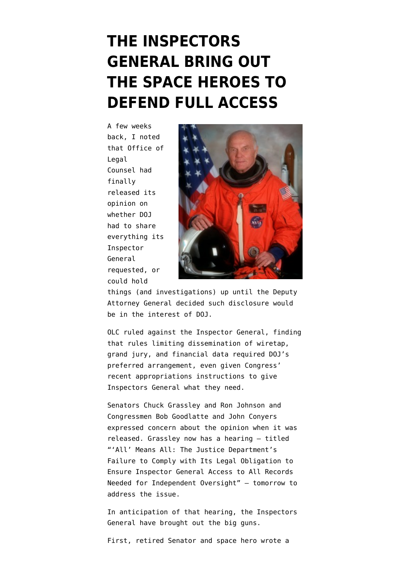## **[THE INSPECTORS](https://www.emptywheel.net/2015/08/04/the-inspectors-general-bring-out-the-space-heroes-to-defend-full-access/) [GENERAL BRING OUT](https://www.emptywheel.net/2015/08/04/the-inspectors-general-bring-out-the-space-heroes-to-defend-full-access/) [THE SPACE HEROES TO](https://www.emptywheel.net/2015/08/04/the-inspectors-general-bring-out-the-space-heroes-to-defend-full-access/) [DEFEND FULL ACCESS](https://www.emptywheel.net/2015/08/04/the-inspectors-general-bring-out-the-space-heroes-to-defend-full-access/)**

A few weeks back, I [noted](https://www.emptywheel.net/2015/07/23/olc-undermines-doj-inspector-general-independence/) that Office of Legal Counsel had finally released its opinion on whether DOJ had to share everything its Inspector General requested, or could hold



things (and investigations) up until the Deputy Attorney General decided such disclosure would be in the interest of DOJ.

OLC [ruled](http://www.justice.gov/sites/default/files/olc/opinions/attachments/2015/07/23/2015-07-20-doj-oig-access.pdf) against the Inspector General, finding that rules limiting dissemination of wiretap, grand jury, and financial data required DOJ's preferred arrangement, even given Congress' recent appropriations instructions to give Inspectors General what they need.

Senators Chuck Grassley and Ron Johnson and Congressmen Bob Goodlatte and John Conyers [expressed](http://www.grassley.senate.gov/news/news-releases/grassley-johnson-goodlatte-conyers-concerned-about-new-opinion-denies-records) concern about the opinion when it was released. Grassley now [has a hearing](http://www.judiciary.senate.gov/meetings/all-means-all-the-justice-departments-failure-to-comply-with-its-legal-obligation-to-ensure-inspector-general-access-to-all-records-needed-for-independent-oversight) — titled "'All' Means All: The Justice Department's Failure to Comply with Its Legal Obligation to Ensure Inspector General Access to All Records Needed for Independent Oversight" — tomorrow to address the issue.

In anticipation of that hearing, the Inspectors General have brought out the big guns.

First, retired Senator and space hero wrote a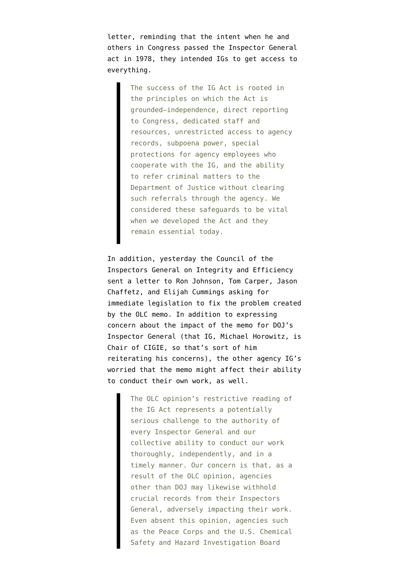letter, reminding that the intent when he and others in Congress passed the Inspector General act in 1978, they intended IGs to get access to everything.

> The success of the IG Act is rooted in the principles on which the Act is grounded–independence, direct reporting to Congress, dedicated staff and resources, unrestricted access to agency records, subpoena power, special protections for agency employees who cooperate with the IG, and the ability to refer criminal matters to the Department of Justice without clearing such referrals through the agency. We considered these safeguards to be vital when we developed the Act and they remain essential today.

In addition, yesterday the Council of the Inspectors General on Integrity and Efficiency sent a [letter](https://www.ignet.gov/sites/default/files/files/CIGIE%20Letter%20to%20HSGAC%20HOGR%20-%208-3-15.pdf) to Ron Johnson, Tom Carper, Jason Chaffetz, and Elijah Cummings asking for immediate legislation to fix the problem created by the OLC memo. In addition to expressing concern about the impact of the memo for DOJ's Inspector General (that IG, Michael Horowitz, is Chair of CIGIE, so that's sort of him reiterating his concerns), the other agency IG's worried that the memo might affect their ability to conduct their own work, as well.

> The OLC opinion's restrictive reading of the IG Act represents a potentially serious challenge to the authority of every Inspector General and our collective ability to conduct our work thoroughly, independently, and in a timely manner. Our concern is that, as a result of the OLC opinion, agencies other than DOJ may likewise withhold crucial records from their Inspectors General, adversely impacting their work. Even absent this opinion, agencies such as the Peace Corps and the U.S. Chemical Safety and Hazard Investigation Board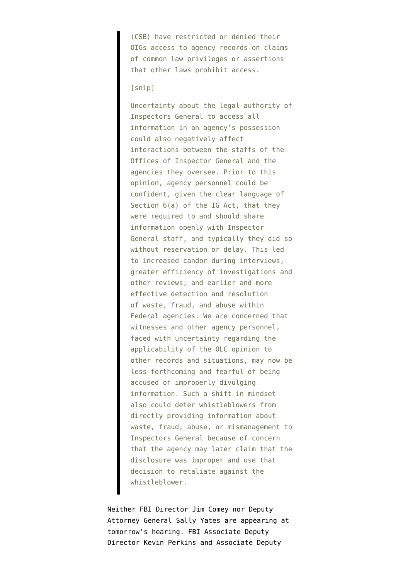(CSB) have restricted or denied their OIGs access to agency records on claims of common law privileges or assertions that other laws prohibit access.

## [snip]

Uncertainty about the legal authority of Inspectors General to access all information in an agency's possession could also negatively affect interactions between the staffs of the Offices of Inspector General and the agencies they oversee. Prior to this opinion, agency personnel could be confident, given the clear language of Section 6(a) of the IG Act, that they were required to and should share information openly with Inspector General staff, and typically they did so without reservation or delay. This led to increased candor during interviews, greater efficiency of investigations and other reviews, and earlier and more effective detection and resolution of waste, fraud, and abuse within Federal agencies. We are concerned that witnesses and other agency personnel, faced with uncertainty regarding the applicability of the OLC opinion to other records and situations, may now be less forthcoming and fearful of being accused of improperly divulging information. Such a shift in mindset also could deter whistleblowers from directly providing information about waste, fraud, abuse, or mismanagement to Inspectors General because of concern that the agency may later claim that the disclosure was improper and use that decision to retaliate against the whistleblower.

Neither FBI Director Jim Comey nor Deputy Attorney General Sally Yates are appearing at tomorrow's hearing. FBI Associate Deputy Director Kevin Perkins and Associate Deputy